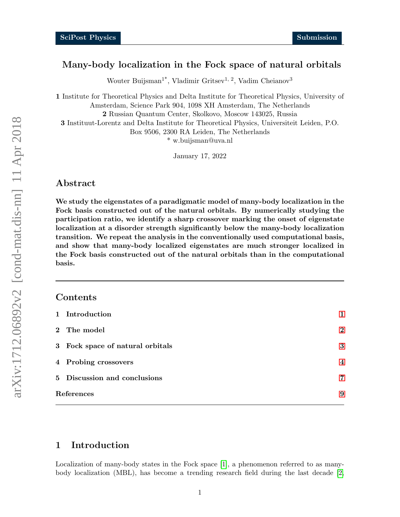## Many-body localization in the Fock space of natural orbitals

Wouter Buijsman<sup>1\*</sup>, Vladimir Gritsev<sup>1, 2</sup>, Vadim Cheianov<sup>3</sup>

1 Institute for Theoretical Physics and Delta Institute for Theoretical Physics, University of Amsterdam, Science Park 904, 1098 XH Amsterdam, The Netherlands 2 Russian Quantum Center, Skolkovo, Moscow 143025, Russia 3 Instituut-Lorentz and Delta Institute for Theoretical Physics, Universiteit Leiden, P.O. Box 9506, 2300 RA Leiden, The Netherlands \* w.buijsman@uva.nl

January 17, 2022

### Abstract

We study the eigenstates of a paradigmatic model of many-body localization in the Fock basis constructed out of the natural orbitals. By numerically studying the participation ratio, we identify a sharp crossover marking the onset of eigenstate localization at a disorder strength significantly below the many-body localization transition. We repeat the analysis in the conventionally used computational basis, and show that many-body localized eigenstates are much stronger localized in the Fock basis constructed out of the natural orbitals than in the computational basis.

### Contents

| 1 Introduction                   | 1              |
|----------------------------------|----------------|
| 2 The model                      | $\mathbf 2$    |
| 3 Fock space of natural orbitals | 3              |
| 4 Probing crossovers             | $\overline{4}$ |
| 5 Discussion and conclusions     | 7              |
| References                       |                |

### <span id="page-0-0"></span>1 Introduction

Localization of many-body states in the Fock space [\[1\]](#page-8-0), a phenomenon referred to as manybody localization (MBL), has become a trending research field during the last decade [\[2,](#page-8-1)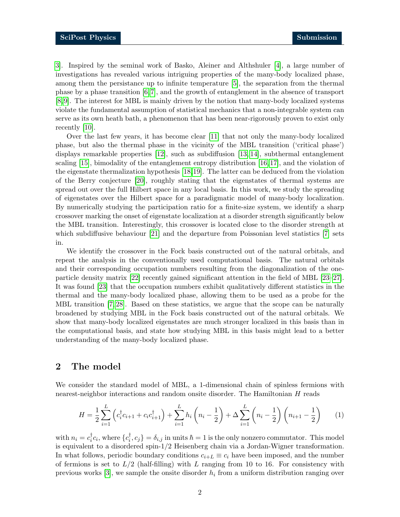[3\]](#page-8-2). Inspired by the seminal work of Basko, Aleiner and Althshuler [\[4\]](#page-8-3), a large number of investigations has revealed various intriguing properties of the many-body localized phase, among them the persistance up to infinite temperature [\[5\]](#page-8-4), the separation from the thermal phase by a phase transition [\[6,](#page-8-5)[7\]](#page-8-6), and the growth of entanglement in the absence of transport [\[8,](#page-8-7) [9\]](#page-8-8). The interest for MBL is mainly driven by the notion that many-body localized systems violate the fundamental assumption of statistical mechanics that a non-integrable system can serve as its own heath bath, a phenomenon that has been near-rigorously proven to exist only recently [\[10\]](#page-8-9).

Over the last few years, it has become clear [\[11\]](#page-8-10) that not only the many-body localized phase, but also the thermal phase in the vicinity of the MBL transition ('critical phase') displays remarkable properties [\[12\]](#page-9-0), such as subdiffusion [\[13,](#page-9-1) [14\]](#page-9-2), subthermal entanglement scaling [\[15\]](#page-9-3), bimodality of the entanglement entropy distribution [\[16,](#page-9-4) [17\]](#page-9-5), and the violation of the eigenstate thermalization hypothesis [\[18,](#page-9-6)[19\]](#page-9-7). The latter can be deduced from the violation of the Berry conjecture [\[20\]](#page-9-8), roughly stating that the eigenstates of thermal systems are spread out over the full Hilbert space in any local basis. In this work, we study the spreading of eigenstates over the Hilbert space for a paradigmatic model of many-body localization. By numerically studying the participation ratio for a finite-size system, we identify a sharp crossover marking the onset of eigenstate localization at a disorder strength significantly below the MBL transition. Interestingly, this crossover is located close to the disorder strength at which subdiffusive behaviour [\[21\]](#page-9-9) and the departure from Poissonian level statistics [\[7\]](#page-8-6) sets in.

We identify the crossover in the Fock basis constructed out of the natural orbitals, and repeat the analysis in the conventionally used computational basis. The natural orbitals and their corresponding occupation numbers resulting from the diagonalization of the oneparticle density matrix [\[22\]](#page-9-10) recently gained significant attention in the field of MBL [\[23–](#page-9-11)[27\]](#page-10-0). It was found [\[23\]](#page-9-11) that the occupation numbers exhibit qualitatively different statistics in the thermal and the many-body localized phase, allowing them to be used as a probe for the MBL transition [\[7,](#page-8-6) [28\]](#page-10-1). Based on these statistics, we argue that the scope can be naturally broadened by studying MBL in the Fock basis constructed out of the natural orbitals. We show that many-body localized eigenstates are much stronger localized in this basis than in the computational basis, and state how studying MBL in this basis might lead to a better understanding of the many-body localized phase.

## <span id="page-1-0"></span>2 The model

We consider the standard model of MBL, a 1-dimensional chain of spinless fermions with nearest-neighbor interactions and random onsite disorder. The Hamiltonian H reads

<span id="page-1-1"></span>
$$
H = \frac{1}{2} \sum_{i=1}^{L} \left( c_i^{\dagger} c_{i+1} + c_i c_{i+1}^{\dagger} \right) + \sum_{i=1}^{L} h_i \left( n_i - \frac{1}{2} \right) + \Delta \sum_{i=1}^{L} \left( n_i - \frac{1}{2} \right) \left( n_{i+1} - \frac{1}{2} \right) \tag{1}
$$

with  $n_i = c_i^{\dagger}$  $_{i}^{\dagger}c_{i}$ , where  $\{c_{i}^{\dagger}$  $\phi_i^{\dagger}, c_j$  =  $\delta_{i,j}$  in units  $\hbar = 1$  is the only nonzero commutator. This model is equivalent to a disordered spin-1/2 Heisenberg chain via a Jordan-Wigner transformation. In what follows, periodic boundary conditions  $c_{i+L} \equiv c_i$  have been imposed, and the number of fermions is set to  $L/2$  (half-filling) with L ranging from 10 to 16. For consistency with previous works  $[3]$ , we sample the onsite disorder  $h_i$  from a uniform distribution ranging over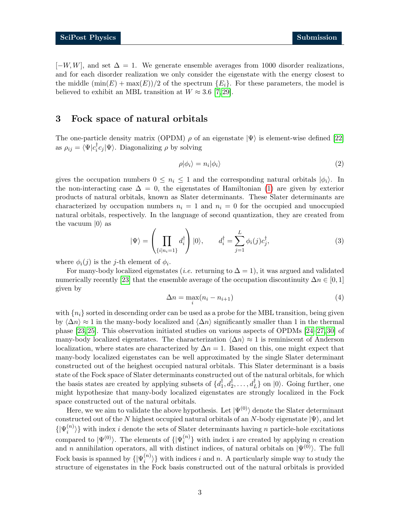$[-W, W]$ , and set  $\Delta = 1$ . We generate ensemble averages from 1000 disorder realizations, and for each disorder realization we only consider the eigenstate with the energy closest to the middle  $(\min(E) + \max(E))/2$  of the spectrum  $\{E_i\}$ . For these parameters, the model is believed to exhibit an MBL transition at  $W \approx 3.6$  [\[7,](#page-8-6) [29\]](#page-10-2).

## <span id="page-2-0"></span>3 Fock space of natural orbitals

The one-particle density matrix (OPDM)  $\rho$  of an eigenstate  $|\Psi\rangle$  is element-wise defined [\[22\]](#page-9-10) as  $\rho_{ij} = \langle \Psi | c_i^{\dagger}$  $\langle \overline{i}c_j|\Psi\rangle$ . Diagonalizing  $\rho$  by solving

$$
\rho|\phi_i\rangle = n_i|\phi_i\rangle \tag{2}
$$

gives the occupation numbers  $0 \leq n_i \leq 1$  and the corresponding natural orbitals  $|\phi_i\rangle$ . In the non-interacting case  $\Delta = 0$ , the eigenstates of Hamiltonian [\(1\)](#page-1-1) are given by exterior products of natural orbitals, known as Slater determinants. These Slater determinants are characterized by occupation numbers  $n<sub>i</sub> = 1$  and  $n<sub>i</sub> = 0$  for the occupied and unoccupied natural orbitals, respectively. In the language of second quantization, they are created from the vacuum  $|0\rangle$  as

$$
|\Psi\rangle = \left(\prod_{\{i|n_i=1\}} d_i^{\dagger}\right)|0\rangle, \qquad d_i^{\dagger} = \sum_{j=1}^{L} \phi_i(j)c_j^{\dagger}, \tag{3}
$$

where  $\phi_i(j)$  is the *j*-th element of  $\phi_i$ .

For many-body localized eigenstates (*i.e.* returning to  $\Delta = 1$ ), it was argued and validated numerically recently [\[23\]](#page-9-11) that the ensemble average of the occupation discontinuity  $\Delta n \in [0,1]$ given by

$$
\Delta n = \max_{i} (n_i - n_{i+1})
$$
\n(4)

with  $\{n_i\}$  sorted in descending order can be used as a probe for the MBL transition, being given by  $\langle \Delta n \rangle \approx 1$  in the many-body localized and  $\langle \Delta n \rangle$  significantly smaller than 1 in the thermal phase [\[23,](#page-9-11) [25\]](#page-9-12). This observation initiated studies on various aspects of OPDMs [\[24–](#page-9-13)[27,](#page-10-0) [30\]](#page-10-3) of many-body localized eigenstates. The characterization  $\langle \Delta n \rangle \approx 1$  is reminiscent of Anderson localization, where states are characterized by  $\Delta n = 1$ . Based on this, one might expect that many-body localized eigenstates can be well approximated by the single Slater determinant constructed out of the heighest occupied natural orbitals. This Slater determinant is a basis state of the Fock space of Slater determinants constructed out of the natural orbitals, for which the basis states are created by applying subsets of  $\{d_1^{\dagger}$  $\{1, d_2^{\dagger}, \ldots, d_L^{\dagger}\}$  on  $|0\rangle$ . Going further, one might hypothesize that many-body localized eigenstates are strongly localized in the Fock space constructed out of the natural orbitals.

Here, we we aim to validate the above hypothesis. Let  $|\Psi^{(0)}\rangle$  denote the Slater determinant constructed out of the N highest occupied natural orbitals of an N-body eigenstate  $|\Psi\rangle$ , and let  $\{|\Psi_i^{(n)}\>$  $\{n^{(n)}\}$  with index *i* denote the sets of Slater determinants having *n* particle-hole excitations compared to  $|\Psi^{(0)}\rangle$ . The elements of  $\{|\Psi_i^{(n)}\rangle\}$  $\binom{n}{i}$  with index i are created by applying *n* creation and *n* annihilation operators, all with distinct indices, of natural orbitals on  $|\Psi^{(0)}\rangle$ . The full Fock basis is spanned by  $\{|\Psi_i^{(n)}\>$  $\{n^{(n)}\}\$  with indices i and n. A particularly simple way to study the structure of eigenstates in the Fock basis constructed out of the natural orbitals is provided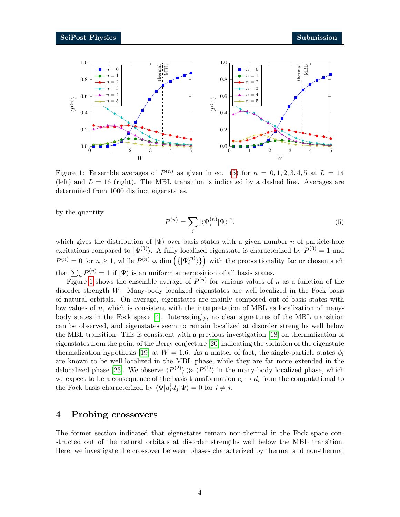

<span id="page-3-2"></span>Figure 1: Ensemble averages of  $P^{(n)}$  as given in eq. [\(5\)](#page-3-1) for  $n = 0, 1, 2, 3, 4, 5$  at  $L = 14$ (left) and  $L = 16$  (right). The MBL transition is indicated by a dashed line. Averages are determined from 1000 distinct eigenstates.

<span id="page-3-1"></span>by the quantity

$$
P^{(n)} = \sum_{i} |\langle \Psi_i^{(n)} | \Psi \rangle|^2,
$$
\n(5)

which gives the distribution of  $|\Psi\rangle$  over basis states with a given number n of particle-hole excitations compared to  $|\Psi^{(0)}\rangle$ . A fully localized eigenstate is characterized by  $P^{(0)} = 1$  and  $P^{(n)} = 0$  for  $n \geq 1$ , while  $P^{(n)} \propto \dim \left( \{ | \Psi_i^{(n)} \right)$  $\{n_i^{(n)}\}$  with the proportionality factor chosen such that  $\sum_{n} P^{(n)} = 1$  if  $|\Psi\rangle$  is an uniform superposition of all basis states.

Figure [1](#page-3-2) shows the ensemble average of  $P^{(n)}$  for various values of n as a function of the disorder strength W. Many-body localized eigenstates are well localized in the Fock basis of natural orbitals. On average, eigenstates are mainly composed out of basis states with low values of  $n$ , which is consistent with the interpretation of MBL as localization of manybody states in the Fock space [\[4\]](#page-8-3). Interestingly, no clear signatures of the MBL transition can be observed, and eigenstates seem to remain localized at disorder strengths well below the MBL transition. This is consistent with a previous investigation [\[18\]](#page-9-6) on thermalization of eigenstates from the point of the Berry conjecture [\[20\]](#page-9-8) indicating the violation of the eigenstate thermalization hypothesis [\[19\]](#page-9-7) at  $W = 1.6$ . As a matter of fact, the single-particle states  $\phi_i$ are known to be well-localized in the MBL phase, while they are far more extended in the delocalized phase [\[23\]](#page-9-11). We observe  $\langle P^{(2)} \rangle \gg \langle P^{(1)} \rangle$  in the many-body localized phase, which we expect to be a consequence of the basis transformation  $c_i \to d_i$  from the computational to the Fock basis characterized by  $\langle \Psi | d_i^{\dagger}$  $i_i^{\dagger} d_j |\Psi\rangle = 0$  for  $i \neq j$ .

## <span id="page-3-0"></span>4 Probing crossovers

The former section indicated that eigenstates remain non-thermal in the Fock space constructed out of the natural orbitals at disorder strengths well below the MBL transition. Here, we investigate the crossover between phases characterized by thermal and non-thermal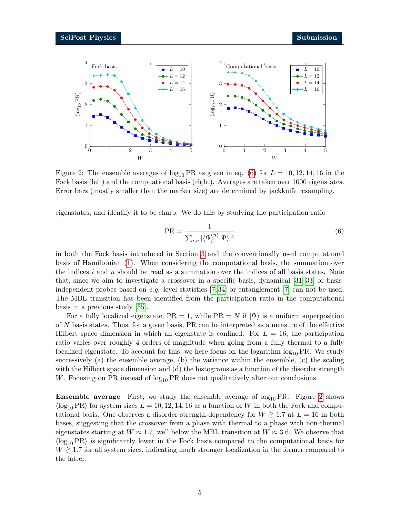

<span id="page-4-1"></span>Figure 2: The ensemble averages of  $\log_{10} PR$  as given in eq. [\(6\)](#page-4-0) for  $L = 10, 12, 14, 16$  in the Fock basis (left) and the compuational basis (right). Averages are taken over 1000 eigenstates. Error bars (mostly smaller than the marker size) are determined by jackknife resampling.

eigenstates, and identify it to be sharp. We do this by studying the participation ratio

<span id="page-4-0"></span>
$$
PR = \frac{1}{\sum_{i,n} |\langle \Psi_i^{(n)} | \Psi \rangle|^4} \tag{6}
$$

in both the Fock basis introduced in Section [3](#page-2-0) and the conventionally used computational basis of Hamiltonian [\(1\)](#page-1-1). When considering the computational basis, the summation over the indices i and n should be read as a summation over the indices of all basis states. Note that, since we aim to investigate a crossover in a specific basis, dynamical [\[31–](#page-10-4)[33\]](#page-10-5) or basisindependent probes based on e.g. level statistics  $[7, 34]$  $[7, 34]$  or entanglement  $[7]$  can not be used. The MBL transition has been identified from the participation ratio in the computational basis in a previous study [\[35\]](#page-10-7).

For a fully localized eigenstate,  $PR = 1$ , while  $PR = N$  if  $|\Psi\rangle$  is a uniform superposition of N basis states. Thus, for a given basis, PR can be interpreted as a measure of the effective Hilbert space dimension in which an eigenstate is confined. For  $L = 16$ , the participation ratio varies over roughly 4 orders of magnitude when going from a fully thermal to a fully localized eigenstate. To account for this, we here focus on the logarithm  $\log_{10} PR$ . We study successively (a) the ensemble average, (b) the variance within the ensemble, (c) the scaling with the Hilbert space dimension and (d) the histograms as a function of the disorder strength W. Focusing on PR instead of  $log_{10} PR$  does not qualitatively alter our conclusions.

**Ensemble average** First, we study the ensemble average of  $log_{10} PR$ . Figure [2](#page-4-1) shows  $\langle \log_{10} PR \rangle$  for system sizes  $L = 10, 12, 14, 16$  as a function of W in both the Fock and computational basis. One observes a disorder strength-dependency for  $W \gtrsim 1.7$  at  $L = 16$  in both bases, suggesting that the crossover from a phase with thermal to a phase with non-thermal eigenstates starting at  $W \approx 1.7$ , well below the MBL transition at  $W \approx 3.6$ . We observe that  $\langle \log_{10} PR \rangle$  is significantly lower in the Fock basis compared to the computational basis for  $W \gtrsim 1.7$  for all system sizes, indicating much stronger localization in the former compared to the latter.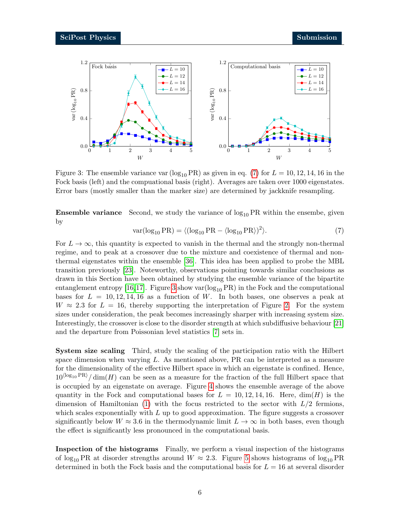

<span id="page-5-1"></span>Figure 3: The ensemble variance var ( $log_{10} PR$ ) as given in eq. [\(7\)](#page-5-0) for  $L = 10, 12, 14, 16$  in the Fock basis (left) and the compuational basis (right). Averages are taken over 1000 eigenstates. Error bars (mostly smaller than the marker size) are determined by jackknife resampling.

<span id="page-5-0"></span>**Ensemble variance** Second, we study the variance of  $log_{10} PR$  within the ensembe, given by

$$
var(log_{10} PR) = \langle (log_{10} PR - \langle log_{10} PR \rangle)^2 \rangle.
$$
 (7)

For  $L \to \infty$ , this quantity is expected to vanish in the thermal and the strongly non-thermal regime, and to peak at a crossover due to the mixture and coexistence of thermal and nonthermal eigenstates within the ensemble [\[36\]](#page-10-8). This idea has been applied to probe the MBL transition previously [\[23\]](#page-9-11). Noteworthy, observations pointing towards similar conclusions as drawn in this Section have been obtained by studying the ensemble variance of the bipartite entanglement entropy [\[16,](#page-9-4)[17\]](#page-9-5). Figure [3](#page-5-1) show var $(\log_{10} PR)$  in the Fock and the computational bases for  $L = 10, 12, 14, 16$  as a function of W. In both bases, one observes a peak at  $W \approx 2.3$  $W \approx 2.3$  $W \approx 2.3$  for  $L = 16$ , thereby supporting the interpretation of Figure 2. For the system sizes under consideration, the peak becomes increasingly sharper with increasing system size. Interestingly, the crossover is close to the disorder strength at which subdiffusive behaviour [\[21\]](#page-9-9) and the departure from Poissonian level statistics [\[7\]](#page-8-6) sets in.

System size scaling Third, study the scaling of the participation ratio with the Hilbert space dimension when varying  $L$ . As mentioned above, PR can be interpreted as a measure for the dimensionality of the effective Hilbert space in which an eigenstate is confined. Hence,  $10^{\langle \log_{10} PR \rangle}/\dim(H)$  can be seen as a measure for the fraction of the full Hilbert space that is occupied by an eigenstate on average. Figure [4](#page-6-1) shows the ensemble average of the above quantity in the Fock and computational bases for  $L = 10, 12, 14, 16$ . Here,  $\dim(H)$  is the dimension of Hamiltonian [\(1\)](#page-1-1) with the focus restricted to the sector with  $L/2$  fermions, which scales exponentially with  $L$  up to good approximation. The figure suggests a crossover significantly below  $W \approx 3.6$  in the thermodynamic limit  $L \to \infty$  in both bases, even though the effect is significantly less pronounced in the computational basis.

Inspection of the histograms Finally, we perform a visual inspection of the histograms of log<sub>10</sub> PR at disorder strengths around  $W \approx 2.3$ . Figure [5](#page-7-0) shows histograms of log<sub>10</sub> PR determined in both the Fock basis and the computational basis for  $L = 16$  at several disorder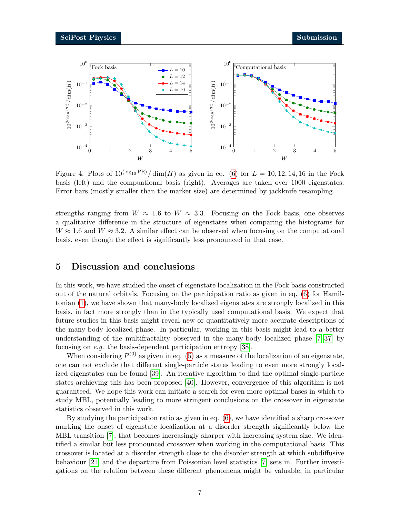

<span id="page-6-1"></span>Figure 4: Plots of  $10^{\langle \log_{10} PR \rangle}/\dim(H)$  as given in eq. [\(6\)](#page-4-0) for  $L = 10, 12, 14, 16$  in the Fock basis (left) and the compuational basis (right). Averages are taken over 1000 eigenstates. Error bars (mostly smaller than the marker size) are determined by jackknife resampling.

strengths ranging from  $W \approx 1.6$  to  $W \approx 3.3$ . Focusing on the Fock basis, one observes a qualitative difference in the structure of eigenstates when comparing the histograms for  $W \approx 1.6$  and  $W \approx 3.2$ . A similar effect can be observed when focusing on the computational basis, even though the effect is significantly less pronounced in that case.

### <span id="page-6-0"></span>5 Discussion and conclusions

In this work, we have studied the onset of eigenstate localization in the Fock basis constructed out of the natural orbitals. Focusing on the participation ratio as given in eq. [\(6\)](#page-4-0) for Hamiltonian [\(1\)](#page-1-1), we have shown that many-body localized eigenstates are strongly localized in this basis, in fact more strongly than in the typically used computational basis. We expect that future studies in this basis might reveal new or quantitatively more accurate descriptions of the many-body localized phase. In particular, working in this basis might lead to a better understanding of the multifractality observed in the many-body localized phase [\[7,](#page-8-6) [37\]](#page-10-9) by focusing on e.g. the basis-dependent participation entropy [\[38\]](#page-10-10).

When considering  $P^{(0)}$  as given in eq. [\(5\)](#page-3-1) as a measure of the localization of an eigenstate, one can not exclude that different single-particle states leading to even more strongly localized eigenstates can be found [\[39\]](#page-10-11). An iterative algorithm to find the optimal single-particle states archieving this has been proposed [\[40\]](#page-11-0). However, convergence of this algorithm is not guaranteed. We hope this work can initiate a search for even more optimal bases in which to study MBL, potentially leading to more stringent conclusions on the crossover in eigenstate statistics observed in this work.

By studying the participation ratio as given in eq. [\(6\)](#page-4-0), we have identified a sharp crossover marking the onset of eigenstate localization at a disorder strength significantly below the MBL transition [\[7\]](#page-8-6), that becomes increasingly sharper with increasing system size. We identified a similar but less pronounced crossover when working in the computational basis. This crossover is located at a disorder strength close to the disorder strength at which subdiffusive behaviour [\[21\]](#page-9-9) and the departure from Poissonian level statistics [\[7\]](#page-8-6) sets in. Further investigations on the relation between these different phenomena might be valuable, in particular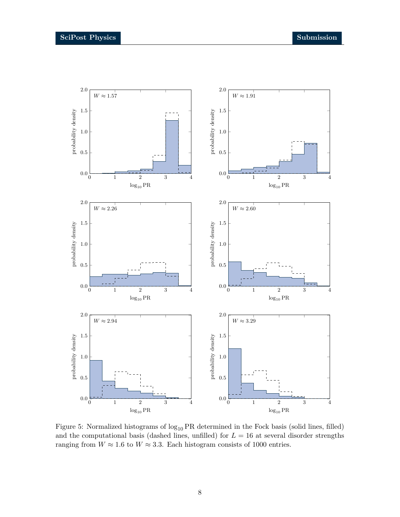

<span id="page-7-0"></span>Figure 5: Normalized histograms of  $log_{10} PR$  determined in the Fock basis (solid lines, filled) and the computational basis (dashed lines, unfilled) for  $L = 16$  at several disorder strengths ranging from  $W \approx 1.6$  to  $W \approx 3.3$ . Each histogram consists of 1000 entries.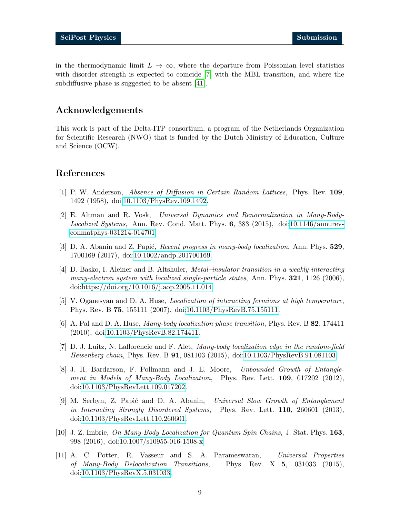in the thermodynamic limit  $L \to \infty$ , where the departure from Poissonian level statistics with disorder strength is expected to coincide [\[7\]](#page-8-6) with the MBL transition, and where the subdiffusive phase is suggested to be absent [\[41\]](#page-11-1).

### Acknowledgements

This work is part of the Delta-ITP consortium, a program of the Netherlands Organization for Scientific Research (NWO) that is funded by the Dutch Ministry of Education, Culture and Science (OCW).

# References

- <span id="page-8-0"></span>[1] P. W. Anderson, Absence of Diffusion in Certain Random Lattices, Phys. Rev. 109, 1492 (1958), doi[:10.1103/PhysRev.109.1492.](http://dx.doi.org/10.1103/PhysRev.109.1492)
- <span id="page-8-1"></span>[2] E. Altman and R. Vosk, Universal Dynamics and Renormalization in Many-Body-Localized Systems, Ann. Rev. Cond. Matt. Phys. 6, 383 (2015), doi[:10.1146/annurev](http://dx.doi.org/10.1146/annurev-conmatphys-031214-014701)[conmatphys-031214-014701.](http://dx.doi.org/10.1146/annurev-conmatphys-031214-014701)
- <span id="page-8-2"></span>[3] D. A. Abanin and Z. Papić, *Recent progress in many-body localization*, Ann. Phys. 529, 1700169 (2017), doi[:10.1002/andp.201700169.](http://dx.doi.org/10.1002/andp.201700169)
- <span id="page-8-3"></span>[4] D. Basko, I. Aleiner and B. Altshuler, Metal–insulator transition in a weakly interacting many-electron system with localized single-particle states, Ann. Phys.  $321, 1126$  (2006), doi[:https://doi.org/10.1016/j.aop.2005.11.014.](http://dx.doi.org/https://doi.org/10.1016/j.aop.2005.11.014)
- <span id="page-8-4"></span>[5] V. Oganesyan and D. A. Huse, Localization of interacting fermions at high temperature, Phys. Rev. B 75, 155111 (2007), doi[:10.1103/PhysRevB.75.155111.](http://dx.doi.org/10.1103/PhysRevB.75.155111)
- <span id="page-8-5"></span>[6] A. Pal and D. A. Huse, Many-body localization phase transition, Phys. Rev. B 82, 174411 (2010), doi[:10.1103/PhysRevB.82.174411.](http://dx.doi.org/10.1103/PhysRevB.82.174411)
- <span id="page-8-6"></span>[7] D. J. Luitz, N. Laflorencie and F. Alet, Many-body localization edge in the random-field Heisenberg chain, Phys. Rev. B 91, 081103 (2015), doi[:10.1103/PhysRevB.91.081103.](http://dx.doi.org/10.1103/PhysRevB.91.081103)
- <span id="page-8-7"></span>[8] J. H. Bardarson, F. Pollmann and J. E. Moore, Unbounded Growth of Entanglement in Models of Many-Body Localization, Phys. Rev. Lett. **109**, 017202 (2012), doi[:10.1103/PhysRevLett.109.017202.](http://dx.doi.org/10.1103/PhysRevLett.109.017202)
- <span id="page-8-8"></span>[9] M. Serbyn, Z. Papi´c and D. A. Abanin, Universal Slow Growth of Entanglement in Interacting Strongly Disordered Systems, Phys. Rev. Lett. 110, 260601 (2013), doi[:10.1103/PhysRevLett.110.260601.](http://dx.doi.org/10.1103/PhysRevLett.110.260601)
- <span id="page-8-9"></span>[10] J. Z. Imbrie, On Many-Body Localization for Quantum Spin Chains, J. Stat. Phys. 163, 998 (2016), doi[:10.1007/s10955-016-1508-x.](http://dx.doi.org/10.1007/s10955-016-1508-x)
- <span id="page-8-10"></span>[11] A. C. Potter, R. Vasseur and S. A. Parameswaran, Universal Properties of Many-Body Delocalization Transitions, Phys. Rev. X 5, 031033 (2015), doi[:10.1103/PhysRevX.5.031033.](http://dx.doi.org/10.1103/PhysRevX.5.031033)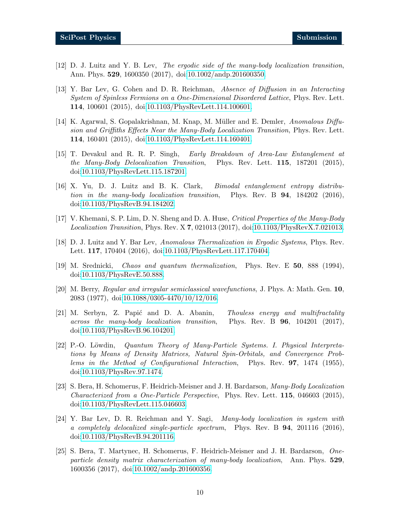- <span id="page-9-0"></span>[12] D. J. Luitz and Y. B. Lev, The ergodic side of the many-body localization transition, Ann. Phys. 529, 1600350 (2017), doi[:10.1002/andp.201600350.](http://dx.doi.org/10.1002/andp.201600350)
- <span id="page-9-1"></span>[13] Y. Bar Lev, G. Cohen and D. R. Reichman, Absence of Diffusion in an Interacting System of Spinless Fermions on a One-Dimensional Disordered Lattice, Phys. Rev. Lett. 114, 100601 (2015), doi[:10.1103/PhysRevLett.114.100601.](http://dx.doi.org/10.1103/PhysRevLett.114.100601)
- <span id="page-9-2"></span>[14] K. Agarwal, S. Gopalakrishnan, M. Knap, M. Müller and E. Demler, Anomalous Diffusion and Griffiths Effects Near the Many-Body Localization Transition, Phys. Rev. Lett. 114, 160401 (2015), doi[:10.1103/PhysRevLett.114.160401.](http://dx.doi.org/10.1103/PhysRevLett.114.160401)
- <span id="page-9-3"></span>[15] T. Devakul and R. R. P. Singh, Early Breakdown of Area-Law Entanglement at the Many-Body Delocalization Transition, Phys. Rev. Lett. 115, 187201 (2015), doi[:10.1103/PhysRevLett.115.187201.](http://dx.doi.org/10.1103/PhysRevLett.115.187201)
- <span id="page-9-4"></span>[16] X. Yu, D. J. Luitz and B. K. Clark, Bimodal entanglement entropy distribution in the many-body localization transition, Phys. Rev. B 94, 184202 (2016), doi[:10.1103/PhysRevB.94.184202.](http://dx.doi.org/10.1103/PhysRevB.94.184202)
- <span id="page-9-5"></span>[17] V. Khemani, S. P. Lim, D. N. Sheng and D. A. Huse, Critical Properties of the Many-Body Localization Transition, Phys. Rev. X 7, 021013 (2017), doi[:10.1103/PhysRevX.7.021013.](http://dx.doi.org/10.1103/PhysRevX.7.021013)
- <span id="page-9-6"></span>[18] D. J. Luitz and Y. Bar Lev, Anomalous Thermalization in Ergodic Systems, Phys. Rev. Lett. 117, 170404 (2016), doi[:10.1103/PhysRevLett.117.170404.](http://dx.doi.org/10.1103/PhysRevLett.117.170404)
- <span id="page-9-7"></span>[19] M. Srednicki, Chaos and quantum thermalization, Phys. Rev. E 50, 888 (1994), doi[:10.1103/PhysRevE.50.888.](http://dx.doi.org/10.1103/PhysRevE.50.888)
- <span id="page-9-8"></span>[20] M. Berry, Regular and irregular semiclassical wavefunctions, J. Phys. A: Math. Gen. 10, 2083 (1977), doi[:10.1088/0305-4470/10/12/016.](http://dx.doi.org/10.1088/0305-4470/10/12/016)
- <span id="page-9-9"></span>[21] M. Serbyn, Z. Papić and D. A. Abanin, Thouless energy and multifractality across the many-body localization transition, Phys. Rev. B  $96$ , 104201 (2017), doi[:10.1103/PhysRevB.96.104201.](http://dx.doi.org/10.1103/PhysRevB.96.104201)
- <span id="page-9-10"></span>[22] P.-O. Löwdin, *Quantum Theory of Many-Particle Systems. I. Physical Interpreta*tions by Means of Density Matrices, Natural Spin-Orbitals, and Convergence Problems in the Method of Configurational Interaction, Phys. Rev. 97, 1474 (1955), doi[:10.1103/PhysRev.97.1474.](http://dx.doi.org/10.1103/PhysRev.97.1474)
- <span id="page-9-11"></span>[23] S. Bera, H. Schomerus, F. Heidrich-Meisner and J. H. Bardarson, Many-Body Localization Characterized from a One-Particle Perspective, Phys. Rev. Lett. 115, 046603 (2015), doi[:10.1103/PhysRevLett.115.046603.](http://dx.doi.org/10.1103/PhysRevLett.115.046603)
- <span id="page-9-13"></span>[24] Y. Bar Lev, D. R. Reichman and Y. Sagi, Many-body localization in system with a completely delocalized single-particle spectrum, Phys. Rev. B  $94$ , 201116 (2016), doi[:10.1103/PhysRevB.94.201116.](http://dx.doi.org/10.1103/PhysRevB.94.201116)
- <span id="page-9-12"></span>[25] S. Bera, T. Martynec, H. Schomerus, F. Heidrich-Meisner and J. H. Bardarson, Oneparticle density matrix characterization of many-body localization, Ann. Phys. 529, 1600356 (2017), doi[:10.1002/andp.201600356.](http://dx.doi.org/10.1002/andp.201600356)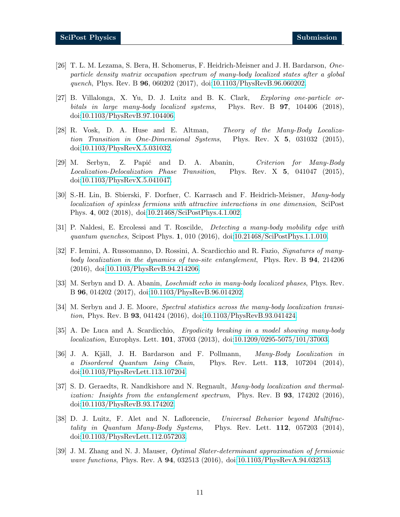- [26] T. L. M. Lezama, S. Bera, H. Schomerus, F. Heidrich-Meisner and J. H. Bardarson, Oneparticle density matrix occupation spectrum of many-body localized states after a global quench, Phys. Rev. B 96, 060202 (2017), doi[:10.1103/PhysRevB.96.060202.](http://dx.doi.org/10.1103/PhysRevB.96.060202)
- <span id="page-10-0"></span>[27] B. Villalonga, X. Yu, D. J. Luitz and B. K. Clark, Exploring one-particle orbitals in large many-body localized systems, Phys. Rev. B **97**, 104406 (2018), doi[:10.1103/PhysRevB.97.104406.](http://dx.doi.org/10.1103/PhysRevB.97.104406)
- <span id="page-10-1"></span>[28] R. Vosk, D. A. Huse and E. Altman, Theory of the Many-Body Localization Transition in One-Dimensional Systems, Phys. Rev. X 5, 031032 (2015), doi[:10.1103/PhysRevX.5.031032.](http://dx.doi.org/10.1103/PhysRevX.5.031032)
- <span id="page-10-2"></span>[29] M. Serbyn, Z. Papić and D. A. Abanin, Criterion for Many-Body Localization-Delocalization Phase Transition, Phys. Rev. X 5, 041047 (2015), doi[:10.1103/PhysRevX.5.041047.](http://dx.doi.org/10.1103/PhysRevX.5.041047)
- <span id="page-10-3"></span>[30] S.-H. Lin, B. Sbierski, F. Dorfner, C. Karrasch and F. Heidrich-Meisner, Many-body localization of spinless fermions with attractive interactions in one dimension, SciPost Phys. 4, 002 (2018), doi[:10.21468/SciPostPhys.4.1.002.](http://dx.doi.org/10.21468/SciPostPhys.4.1.002)
- <span id="page-10-4"></span>[31] P. Naldesi, E. Ercolessi and T. Roscilde, Detecting a many-body mobility edge with quantum quenches, Scipost Phys. 1, 010 (2016), doi[:10.21468/SciPostPhys.1.1.010.](http://dx.doi.org/10.21468/SciPostPhys.1.1.010)
- [32] F. Iemini, A. Russomanno, D. Rossini, A. Scardicchio and R. Fazio, Signatures of manybody localization in the dynamics of two-site entanglement. Phys. Rev. B 94, 214206 (2016), doi[:10.1103/PhysRevB.94.214206.](http://dx.doi.org/10.1103/PhysRevB.94.214206)
- <span id="page-10-5"></span>[33] M. Serbyn and D. A. Abanin, Loschmidt echo in many-body localized phases, Phys. Rev. B 96, 014202 (2017), doi[:10.1103/PhysRevB.96.014202.](http://dx.doi.org/10.1103/PhysRevB.96.014202)
- <span id="page-10-6"></span>[34] M. Serbyn and J. E. Moore, Spectral statistics across the many-body localization transition, Phys. Rev. B 93, 041424 (2016), doi[:10.1103/PhysRevB.93.041424.](http://dx.doi.org/10.1103/PhysRevB.93.041424)
- <span id="page-10-7"></span>[35] A. De Luca and A. Scardicchio, Ergodicity breaking in a model showing many-body localization, Europhys. Lett. 101, 37003 (2013), doi[:10.1209/0295-5075/101/37003.](http://dx.doi.org/10.1209/0295-5075/101/37003)
- <span id="page-10-8"></span>[36] J. A. Kjäll, J. H. Bardarson and F. Pollmann, Many-Body Localization in a Disordered Quantum Ising Chain, Phys. Rev. Lett. 113, 107204 (2014), doi[:10.1103/PhysRevLett.113.107204.](http://dx.doi.org/10.1103/PhysRevLett.113.107204)
- <span id="page-10-9"></span>[37] S. D. Geraedts, R. Nandkishore and N. Regnault, Many-body localization and thermalization: Insights from the entanglement spectrum, Phys. Rev. B 93, 174202 (2016), doi[:10.1103/PhysRevB.93.174202.](http://dx.doi.org/10.1103/PhysRevB.93.174202)
- <span id="page-10-10"></span>[38] D. J. Luitz, F. Alet and N. Laflorencie, Universal Behavior beyond Multifractality in Quantum Many-Body Systems, Phys. Rev. Lett. **112**, 057203 (2014), doi[:10.1103/PhysRevLett.112.057203.](http://dx.doi.org/10.1103/PhysRevLett.112.057203)
- <span id="page-10-11"></span>[39] J. M. Zhang and N. J. Mauser, Optimal Slater-determinant approximation of fermionic wave functions, Phys. Rev. A **94**, 032513 (2016), doi[:10.1103/PhysRevA.94.032513.](http://dx.doi.org/10.1103/PhysRevA.94.032513)